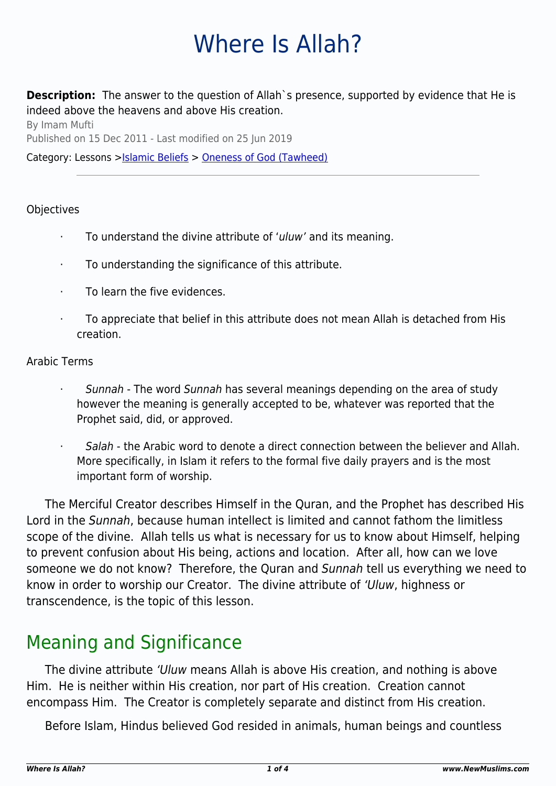# Where Is Allah?

**Description:** The answer to the question of Allah's presence, supported by evidence that He is indeed above the heavens and above His creation.

By Imam Mufti Published on 15 Dec 2011 - Last modified on 25 Jun 2019

Category: Lessons >[Islamic Beliefs](http://www.newmuslims.com/category/131/) > [Oneness of God \(Tawheed\)](http://www.newmuslims.com/category/142/)

#### **Objectives**

- · To understand the divine attribute of 'uluw' and its meaning.
- · To understanding the significance of this attribute.
- To learn the five evidences.
- To appreciate that belief in this attribute does not mean Allah is detached from His creation.

#### Arabic Terms

- Sunnah The word Sunnah has several meanings depending on the area of study however the meaning is generally accepted to be, whatever was reported that the Prophet said, did, or approved.
- Salah the Arabic word to denote a direct connection between the believer and Allah. More specifically, in Islam it refers to the formal five daily prayers and is the most important form of worship.

The Merciful Creator describes Himself in the Quran, and the Prophet has described His Lord in the Sunnah, because human intellect is limited and cannot fathom the limitless scope of the divine. Allah tells us what is necessary for us to know about Himself, helping to prevent confusion about His being, actions and location. After all, how can we love someone we do not know? Therefore, the Quran and Sunnah tell us everything we need to know in order to worship our Creator. The divine attribute of 'Uluw, highness or transcendence, is the topic of this lesson.

### Meaning and Significance

The divine attribute 'Uluw means Allah is above His creation, and nothing is above Him. He is neither within His creation, nor part of His creation. Creation cannot encompass Him. The Creator is completely separate and distinct from His creation.

Before Islam, Hindus believed God resided in animals, human beings and countless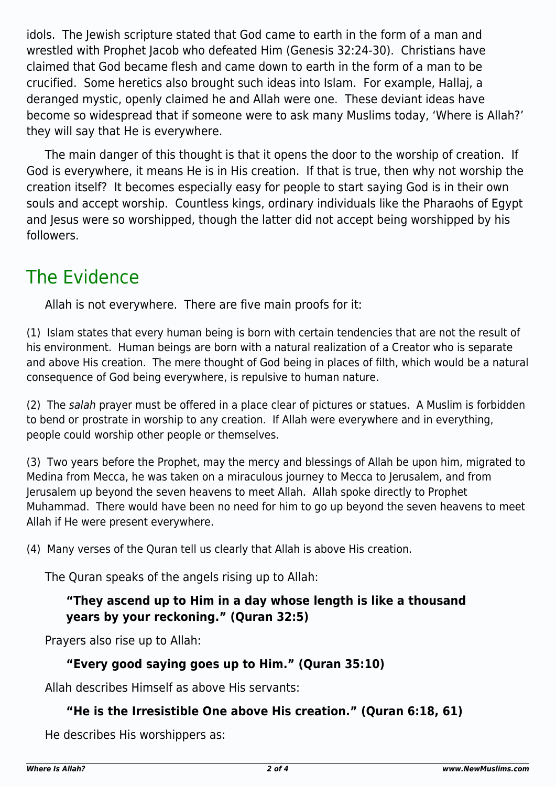idols. The Jewish scripture stated that God came to earth in the form of a man and wrestled with Prophet Jacob who defeated Him (Genesis 32:24-30). Christians have claimed that God became flesh and came down to earth in the form of a man to be crucified. Some heretics also brought such ideas into Islam. For example, Hallaj, a deranged mystic, openly claimed he and Allah were one. These deviant ideas have become so widespread that if someone were to ask many Muslims today, 'Where is Allah?' they will say that He is everywhere.

The main danger of this thought is that it opens the door to the worship of creation. If God is everywhere, it means He is in His creation. If that is true, then why not worship the creation itself? It becomes especially easy for people to start saying God is in their own souls and accept worship. Countless kings, ordinary individuals like the Pharaohs of Egypt and Jesus were so worshipped, though the latter did not accept being worshipped by his followers.

# The Evidence

Allah is not everywhere. There are five main proofs for it:

(1) Islam states that every human being is born with certain tendencies that are not the result of his environment. Human beings are born with a natural realization of a Creator who is separate and above His creation. The mere thought of God being in places of filth, which would be a natural consequence of God being everywhere, is repulsive to human nature.

(2) The salah prayer must be offered in a place clear of pictures or statues. A Muslim is forbidden to bend or prostrate in worship to any creation. If Allah were everywhere and in everything, people could worship other people or themselves.

(3) Two years before the Prophet, may the mercy and blessings of Allah be upon him, migrated to Medina from Mecca, he was taken on a miraculous journey to Mecca to Jerusalem, and from Jerusalem up beyond the seven heavens to meet Allah. Allah spoke directly to Prophet Muhammad. There would have been no need for him to go up beyond the seven heavens to meet Allah if He were present everywhere.

(4) Many verses of the Quran tell us clearly that Allah is above His creation.

The Quran speaks of the angels rising up to Allah:

### **"They ascend up to Him in a day whose length is like a thousand years by your reckoning." (Quran 32:5)**

Prayers also rise up to Allah:

#### **"Every good saying goes up to Him." (Quran 35:10)**

Allah describes Himself as above His servants:

### **"He is the Irresistible One above His creation." (Quran 6:18, 61)**

He describes His worshippers as: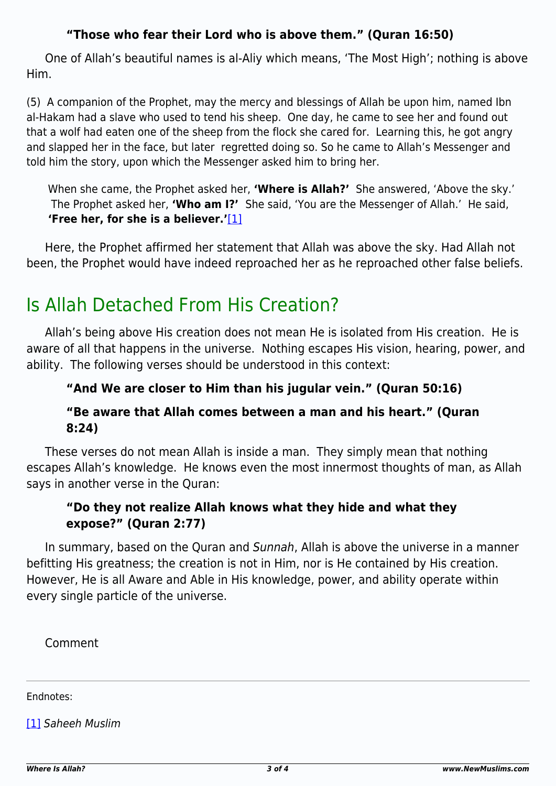#### **"Those who fear their Lord who is above them." (Quran 16:50)**

One of Allah's beautiful names is al-Aliy which means, 'The Most High'; nothing is above Him.

(5) A companion of the Prophet, may the mercy and blessings of Allah be upon him, named Ibn al-Hakam had a slave who used to tend his sheep. One day, he came to see her and found out that a wolf had eaten one of the sheep from the flock she cared for. Learning this, he got angry and slapped her in the face, but later regretted doing so. So he came to Allah's Messenger and told him the story, upon which the Messenger asked him to bring her.

When she came, the Prophet asked her, **'Where is Allah?'** She answered, 'Above the sky.' The Prophet asked her, **'Who am I?'** She said, 'You are the Messenger of Allah.' He said, **'Free her, for she is a believer.'**[\[1\]](#page-2-0)

<span id="page-2-1"></span>Here, the Prophet affirmed her statement that Allah was above the sky. Had Allah not been, the Prophet would have indeed reproached her as he reproached other false beliefs.

# Is Allah Detached From His Creation?

Allah's being above His creation does not mean He is isolated from His creation. He is aware of all that happens in the universe. Nothing escapes His vision, hearing, power, and ability. The following verses should be understood in this context:

### **"And We are closer to Him than his jugular vein." (Quran 50:16)**

#### **"Be aware that Allah comes between a man and his heart." (Quran 8:24)**

These verses do not mean Allah is inside a man. They simply mean that nothing escapes Allah's knowledge. He knows even the most innermost thoughts of man, as Allah says in another verse in the Quran:

#### **"Do they not realize Allah knows what they hide and what they expose?" (Quran 2:77)**

In summary, based on the Quran and Sunnah, Allah is above the universe in a manner befitting His greatness; the creation is not in Him, nor is He contained by His creation. However, He is all Aware and Able in His knowledge, power, and ability operate within every single particle of the universe.

Comment

Endnotes:

<span id="page-2-0"></span>[\[1\]](#page-2-1) Saheeh Muslim